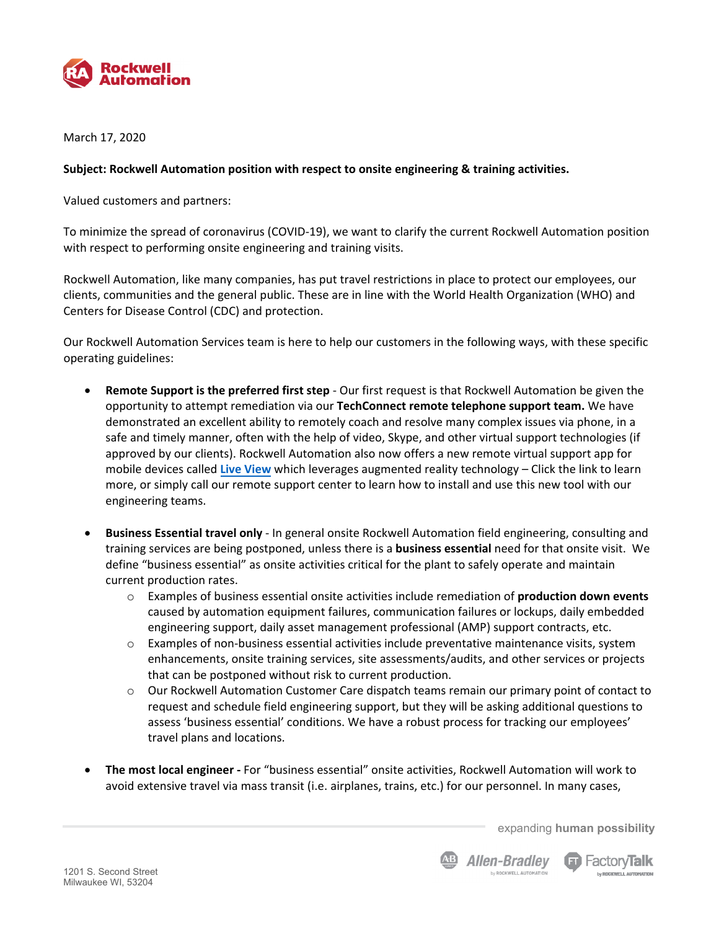

March 17, 2020

## **Subject: Rockwell Automation position with respect to onsite engineering & training activities.**

Valued customers and partners:

To minimize the spread of coronavirus (COVID‐19), we want to clarify the current Rockwell Automation position with respect to performing onsite engineering and training visits.

Rockwell Automation, like many companies, has put travel restrictions in place to protect our employees, our clients, communities and the general public. These are in line with the World Health Organization (WHO) and Centers for Disease Control (CDC) and protection.

Our Rockwell Automation Services team is here to help our customers in the following ways, with these specific operating guidelines:

- **Remote Support is the preferred first step** ‐ Our first request is that Rockwell Automation be given the opportunity to attempt remediation via our **TechConnect remote telephone support team.** We have demonstrated an excellent ability to remotely coach and resolve many complex issues via phone, in a safe and timely manner, often with the help of video, Skype, and other virtual support technologies (if approved by our clients). Rockwell Automation also now offers a new remote virtual support app for mobile devices called **Live [View](https://www.rockwellautomation.com/global/detail.page?content_type=overview&docid=621807e2c1c2a6a855fef1fa9172bbcf&pagetitle=Vuforia-Chalk)** which leverages augmented reality technology – Click the link to learn more, or simply call our remote support center to learn how to install and use this new tool with our engineering teams.
- **Business Essential travel only** ‐ In general onsite Rockwell Automation field engineering, consulting and training services are being postponed, unless there is a **business essential** need for that onsite visit. We define "business essential" as onsite activities critical for the plant to safely operate and maintain current production rates.
	- o Examples of business essential onsite activities include remediation of **production down events** caused by automation equipment failures, communication failures or lockups, daily embedded engineering support, daily asset management professional (AMP) support contracts, etc.
	- $\circ$  Examples of non-business essential activities include preventative maintenance visits, system enhancements, onsite training services, site assessments/audits, and other services or projects that can be postponed without risk to current production.
	- o Our Rockwell Automation Customer Care dispatch teams remain our primary point of contact to request and schedule field engineering support, but they will be asking additional questions to assess 'business essential' conditions. We have a robust process for tracking our employees' travel plans and locations.
- **The most local engineer ‐** For "business essential" onsite activities, Rockwell Automation will work to avoid extensive travel via mass transit (i.e. airplanes, trains, etc.) for our personnel. In many cases,

expanding **human possibility**